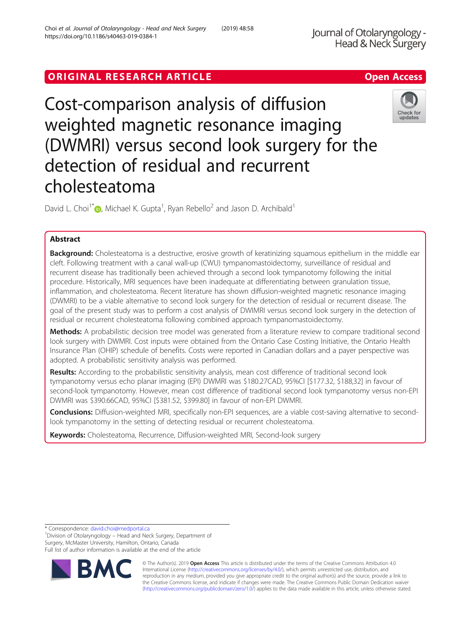# ORIGINAL RESEARCH ARTICLE **External of the Contract Contract Contract Contract Contract Contract Contract Contract Contract Contract Contract Contract Contract Contract Contract Contract Contract Contract Contract Contract**

Cost-comparison analysis of diffusion weighted magnetic resonance imaging (DWMRI) versus second look surgery for the detection of residual and recurrent cholesteatoma

David L. Choi<sup>1[\\*](http://orcid.org/0000-0001-5720-1813)</sup>  $\bullet$ , Michael K. Gupta<sup>1</sup>, Ryan Rebello<sup>2</sup> and Jason D. Archibald<sup>1</sup>

## Abstract

Background: Cholesteatoma is a destructive, erosive growth of keratinizing squamous epithelium in the middle ear cleft. Following treatment with a canal wall-up (CWU) tympanomastoidectomy, surveillance of residual and recurrent disease has traditionally been achieved through a second look tympanotomy following the initial procedure. Historically, MRI sequences have been inadequate at differentiating between granulation tissue, inflammation, and cholesteatoma. Recent literature has shown diffusion-weighted magnetic resonance imaging (DWMRI) to be a viable alternative to second look surgery for the detection of residual or recurrent disease. The goal of the present study was to perform a cost analysis of DWIMRI versus second look surgery in the detection of residual or recurrent cholesteatoma following combined approach tympanomastoidectomy.

Methods: A probabilistic decision tree model was generated from a literature review to compare traditional second look surgery with DWMRI. Cost inputs were obtained from the Ontario Case Costing Initiative, the Ontario Health Insurance Plan (OHIP) schedule of benefits. Costs were reported in Canadian dollars and a payer perspective was adopted. A probabilistic sensitivity analysis was performed.

Results: According to the probabilistic sensitivity analysis, mean cost difference of traditional second look tympanotomy versus echo planar imaging (EPI) DWMRI was \$180.27CAD, 95%CI [\$177.32, \$188,32] in favour of second-look tympanotomy. However, mean cost difference of traditional second look tympanotomy versus non-EPI DWMRI was \$390.66CAD, 95%CI [\$381.52, \$399.80] in favour of non-EPI DWMRI.

Conclusions: Diffusion-weighted MRI, specifically non-EPI sequences, are a viable cost-saving alternative to secondlook tympanotomy in the setting of detecting residual or recurrent cholesteatoma.

Keywords: Cholesteatoma, Recurrence, Diffusion-weighted MRI, Second-look surgery

\* Correspondence: [david.choi@medportal.ca](mailto:david.choi@medportal.ca) <sup>1</sup>

RA

<sup>1</sup> Division of Otolaryngology – Head and Neck Surgery, Department of Surgery, McMaster University, Hamilton, Ontario, Canada Full list of author information is available at the end of the article



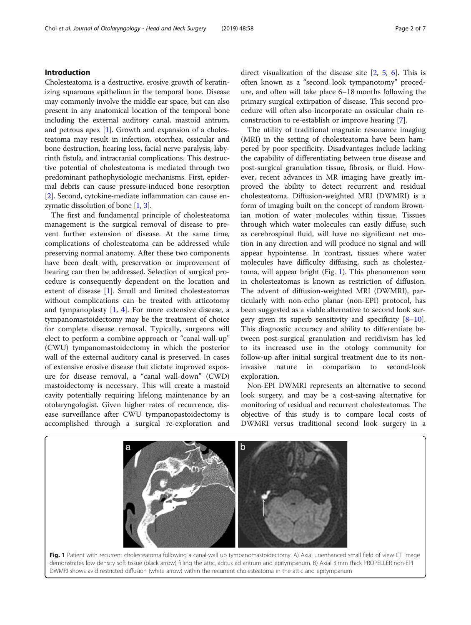## Introduction

Cholesteatoma is a destructive, erosive growth of keratinizing squamous epithelium in the temporal bone. Disease may commonly involve the middle ear space, but can also present in any anatomical location of the temporal bone including the external auditory canal, mastoid antrum, and petrous apex [\[1](#page-5-0)]. Growth and expansion of a cholesteatoma may result in infection, otorrhea, ossicular and bone destruction, hearing loss, facial nerve paralysis, labyrinth fistula, and intracranial complications. This destructive potential of cholesteatoma is mediated through two predominant pathophysiologic mechanisms. First, epidermal debris can cause pressure-induced bone resorption [[2\]](#page-5-0). Second, cytokine-mediate inflammation can cause en-zymatic dissolution of bone [\[1,](#page-5-0) [3\]](#page-5-0).

The first and fundamental principle of cholesteatoma management is the surgical removal of disease to prevent further extension of disease. At the same time, complications of cholesteatoma can be addressed while preserving normal anatomy. After these two components have been dealt with, preservation or improvement of hearing can then be addressed. Selection of surgical procedure is consequently dependent on the location and extent of disease [[1\]](#page-5-0). Small and limited cholesteatomas without complications can be treated with atticotomy and tympanoplasty  $[1, 4]$  $[1, 4]$  $[1, 4]$ . For more extensive disease, a tympanomastoidectomy may be the treatment of choice for complete disease removal. Typically, surgeons will elect to perform a combine approach or "canal wall-up" (CWU) tympanomastoidectomy in which the posterior wall of the external auditory canal is preserved. In cases of extensive erosive disease that dictate improved exposure for disease removal, a "canal wall-down" (CWD) mastoidectomy is necessary. This will create a mastoid cavity potentially requiring lifelong maintenance by an otolaryngologist. Given higher rates of recurrence, disease surveillance after CWU tympanopastoidectomy is accomplished through a surgical re-exploration and

direct visualization of the disease site [[2,](#page-5-0) [5](#page-5-0), [6\]](#page-5-0). This is often known as a "second look tympanotomy" procedure, and often will take place 6–18 months following the primary surgical extirpation of disease. This second procedure will often also incorporate an ossicular chain reconstruction to re-establish or improve hearing [\[7\]](#page-5-0).

The utility of traditional magnetic resonance imaging (MRI) in the setting of cholesteatoma have been hampered by poor specificity. Disadvantages include lacking the capability of differentiating between true disease and post-surgical granulation tissue, fibrosis, or fluid. However, recent advances in MR imaging have greatly improved the ability to detect recurrent and residual cholesteatoma. Diffusion-weighted MRI (DWMRI) is a form of imaging built on the concept of random Brownian motion of water molecules within tissue. Tissues through which water molecules can easily diffuse, such as cerebrospinal fluid, will have no significant net motion in any direction and will produce no signal and will appear hypointense. In contrast, tissues where water molecules have difficulty diffusing, such as cholesteatoma, will appear bright (Fig. 1). This phenomenon seen in cholesteatomas is known as restriction of diffusion. The advent of diffusion-weighted MRI (DWMRI), particularly with non-echo planar (non-EPI) protocol, has been suggested as a viable alternative to second look surgery given its superb sensitivity and specificity  $[8-10]$  $[8-10]$  $[8-10]$  $[8-10]$  $[8-10]$ . This diagnostic accuracy and ability to differentiate between post-surgical granulation and recidivism has led to its increased use in the otology community for follow-up after initial surgical treatment due to its noninvasive nature in comparison to second-look exploration.

Non-EPI DWMRI represents an alternative to second look surgery, and may be a cost-saving alternative for monitoring of residual and recurrent cholesteatomas. The objective of this study is to compare local costs of DWMRI versus traditional second look surgery in a

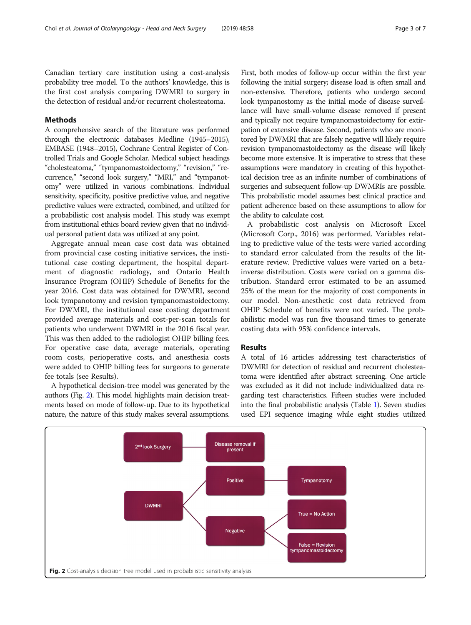<span id="page-2-0"></span>Canadian tertiary care institution using a cost-analysis probability tree model. To the authors' knowledge, this is the first cost analysis comparing DWMRI to surgery in the detection of residual and/or recurrent cholesteatoma.

## Methods

A comprehensive search of the literature was performed through the electronic databases Medline (1945–2015), EMBASE (1948–2015), Cochrane Central Register of Controlled Trials and Google Scholar. Medical subject headings "cholesteatoma," "tympanomastoidectomy," "revision," "recurrence," "second look surgery," "MRI," and "tympanotomy" were utilized in various combinations. Individual sensitivity, specificity, positive predictive value, and negative predictive values were extracted, combined, and utilized for a probabilistic cost analysis model. This study was exempt from institutional ethics board review given that no individual personal patient data was utilized at any point.

Aggregate annual mean case cost data was obtained from provincial case costing initiative services, the institutional case costing department, the hospital department of diagnostic radiology, and Ontario Health Insurance Program (OHIP) Schedule of Benefits for the year 2016. Cost data was obtained for DWMRI, second look tympanotomy and revision tympanomastoidectomy. For DWMRI, the institutional case costing department provided average materials and cost-per-scan totals for patients who underwent DWMRI in the 2016 fiscal year. This was then added to the radiologist OHIP billing fees. For operative case data, average materials, operating room costs, perioperative costs, and anesthesia costs were added to OHIP billing fees for surgeons to generate fee totals (see Results).

A hypothetical decision-tree model was generated by the authors (Fig. 2). This model highlights main decision treatments based on mode of follow-up. Due to its hypothetical nature, the nature of this study makes several assumptions. First, both modes of follow-up occur within the first year following the initial surgery; disease load is often small and non-extensive. Therefore, patients who undergo second look tympanostomy as the initial mode of disease surveillance will have small-volume disease removed if present and typically not require tympanomastoidectomy for extirpation of extensive disease. Second, patients who are monitored by DWMRI that are falsely negative will likely require revision tympanomastoidectomy as the disease will likely become more extensive. It is imperative to stress that these assumptions were mandatory in creating of this hypothetical decision tree as an infinite number of combinations of surgeries and subsequent follow-up DWMRIs are possible. This probabilistic model assumes best clinical practice and patient adherence based on these assumptions to allow for the ability to calculate cost.

A probabilistic cost analysis on Microsoft Excel (Microsoft Corp., 2016) was performed. Variables relating to predictive value of the tests were varied according to standard error calculated from the results of the literature review. Predictive values were varied on a betainverse distribution. Costs were varied on a gamma distribution. Standard error estimated to be an assumed 25% of the mean for the majority of cost components in our model. Non-anesthetic cost data retrieved from OHIP Schedule of benefits were not varied. The probabilistic model was run five thousand times to generate costing data with 95% confidence intervals.

## Results

A total of 16 articles addressing test characteristics of DWMRI for detection of residual and recurrent cholesteatoma were identified after abstract screening. One article was excluded as it did not include individualized data regarding test characteristics. Fifteen studies were included into the final probabilistic analysis (Table [1](#page-3-0)). Seven studies used EPI sequence imaging while eight studies utilized

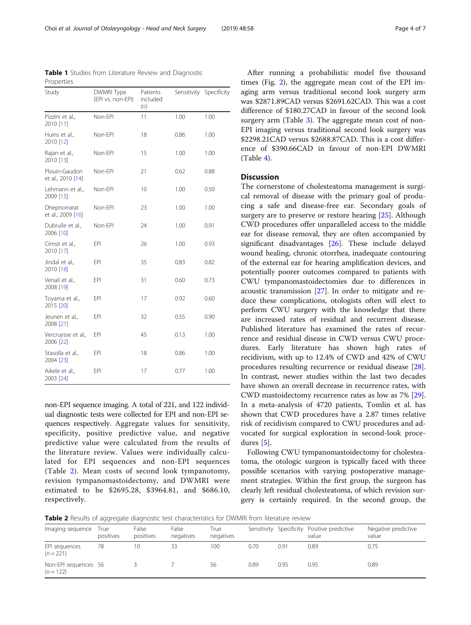non-EPI sequence imaging. A total of 221, and 122 individual diagnostic tests were collected for EPI and non-EPI sequences respectively. Aggregate values for sensitivity, specificity, positive predictive value, and negative predictive value were calculated from the results of the literature review. Values were individually calculated for EPI sequences and non-EPI sequences (Table 2). Mean costs of second look tympanotomy, revision tympanomastoidectomy, and DWMRI were estimated to be \$2695.28, \$3964.81, and \$686.10, respectively.

After running a probabilistic model five thousand times (Fig. [2](#page-2-0)), the aggregate mean cost of the EPI imaging arm versus traditional second look surgery arm was \$2871.89CAD versus \$2691.62CAD. This was a cost difference of \$180.27CAD in favour of the second look surgery arm (Table [3](#page-4-0)). The aggregate mean cost of non-EPI imaging versus traditional second look surgery was \$2298.21CAD versus \$2688.87CAD. This is a cost difference of \$390.66CAD in favour of non-EPI DWMRI (Table [4\)](#page-4-0).

### **Discussion**

The cornerstone of cholesteatoma management is surgical removal of disease with the primary goal of producing a safe and disease-free ear. Secondary goals of surgery are to preserve or restore hearing [[25\]](#page-6-0). Although CWD procedures offer unparalleled access to the middle ear for disease removal, they are often accompanied by significant disadvantages [[26\]](#page-6-0). These include delayed wound healing, chronic otorrhea, inadequate contouring of the external ear for hearing amplification devices, and potentially poorer outcomes compared to patients with CWU tympanomastoidectomies due to differences in acoustic transmission [[27\]](#page-6-0). In order to mitigate and reduce these complications, otologists often will elect to perform CWU surgery with the knowledge that there are increased rates of residual and recurrent disease. Published literature has examined the rates of recurrence and residual disease in CWD versus CWU procedures. Early literature has shown high rates of recidivism, with up to 12.4% of CWD and 42% of CWU procedures resulting recurrence or residual disease [\[28](#page-6-0)]. In contrast, newer studies within the last two decades have shown an overall decrease in recurrence rates, with CWD mastoidectomy recurrence rates as low as 7% [\[29](#page-6-0)]. In a meta-analysis of 4720 patients, Tomlin et al. has shown that CWD procedures have a 2.87 times relative risk of recidivism compared to CWU procedures and advocated for surgical exploration in second-look procedures [\[5](#page-5-0)].

Following CWU tympanomastoidectomy for cholesteatoma, the otologic surgeon is typically faced with three possible scenarios with varying postoperative management strategies. Within the first group, the surgeon has clearly left residual cholesteatoma, of which revision surgery is certainly required. In the second group, the

**Table 2** Results of aggregate diagnostic test characteristics for DWMRI from literature review

| Imaging sequence                    | True<br>positives | False<br>positives | False<br>negatives | True<br>negatives |      |               | Sensitivity Specificity Positive predictive<br>value | Negative predictive<br>value |
|-------------------------------------|-------------------|--------------------|--------------------|-------------------|------|---------------|------------------------------------------------------|------------------------------|
| EPI sequences<br>$(n = 221)$        | 78                | 10                 | 33                 | 100               | 0.70 | $0.9^{\circ}$ | 0.89                                                 | 0.75                         |
| Non-EPI sequences 56<br>$(n = 122)$ |                   |                    |                    | 56                | 0.89 | 0.95          | 0.95                                                 | 0.89                         |

Table 1 Studies from Literature Review and Diagnostic Properties

<span id="page-3-0"></span>

| Choi et al. Journal of Otolaryngology - Head and Neck Surgery | (2019) 48:58 | Page 4 of 7 |
|---------------------------------------------------------------|--------------|-------------|
|---------------------------------------------------------------|--------------|-------------|

| Study                              | DWMRI Type<br>(EPI vs. non-EPI) | Patients<br>included<br>(n) | Sensitivity Specificity |      |
|------------------------------------|---------------------------------|-----------------------------|-------------------------|------|
| Pizzini et al.,<br>2010 [11]       | Non-EPI                         | 11                          | 1.00                    | 1.00 |
| Huins et al.,<br>2010 [12]         | Non-EPI                         | 18                          | 0.86                    | 1.00 |
| Rajan et al.,<br>2010 [13]         | Non-EPI                         | 15                          | 1.00                    | 1.00 |
| Plouin-Gaudon<br>et al., 2010 [14] | Non-EPI                         | 21                          | 0.62                    | 0.88 |
| Lehmann et al.,<br>2009 [15]       | Non-EPI                         | 10                          | 1.00                    | 0.50 |
| Dhepnorrarat<br>et al., 2009 [16]  | Non-EPI                         | 23                          | 1.00                    | 1.00 |
| Dubrulle et al.,<br>2006 [10]      | Non-EPI                         | 24                          | 1.00                    | 0.91 |
| Cimsit et al.,<br>2010 [17]        | EPI                             | 26                          | 1.00                    | 0.93 |
| Jindal et al.,<br>2010 [18]        | EPI                             | 35                          | 0.83                    | 0.82 |
| Venail et al.,<br>2008 [19]        | EPI                             | 31                          | 0.60                    | 0.73 |
| Toyama et al.,<br>2015 [20]        | EPI                             | 17                          | 0.92                    | 0.60 |
| Jeunen et al.,<br>2008 [21]        | EPI                             | 32                          | 0.55                    | 0.90 |
| Vercruysse et al.,<br>2006 [22]    | EPI                             | 45                          | 0.13                    | 1.00 |
| Stasolla et al.,<br>2004 [23]      | EPI                             | 18                          | 0.86                    | 1.00 |
| Aikele et al.,<br>2003 [24]        | EPI                             | 17                          | 0.77                    | 1.00 |
|                                    |                                 |                             |                         |      |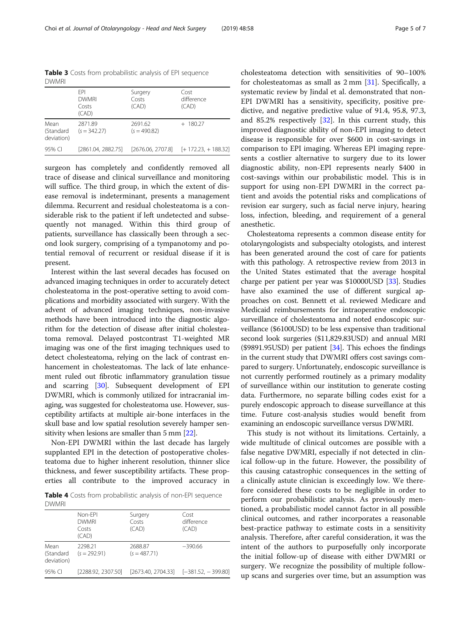surgeon has completely and confidently removed all trace of disease and clinical surveillance and monitoring will suffice. The third group, in which the extent of disease removal is indeterminant, presents a management dilemma. Recurrent and residual cholesteatoma is a considerable risk to the patient if left undetected and subsequently not managed. Within this third group of patients, surveillance has classically been through a second look surgery, comprising of a tympanotomy and potential removal of recurrent or residual disease if it is present.

Interest within the last several decades has focused on advanced imaging techniques in order to accurately detect cholesteatoma in the post-operative setting to avoid complications and morbidity associated with surgery. With the advent of advanced imaging techniques, non-invasive methods have been introduced into the diagnostic algorithm for the detection of disease after initial cholesteatoma removal. Delayed postcontrast T1-weighted MR imaging was one of the first imaging techniques used to detect cholesteatoma, relying on the lack of contrast enhancement in cholesteatomas. The lack of late enhancement ruled out fibrotic inflammatory granulation tissue and scarring [\[30\]](#page-6-0). Subsequent development of EPI DWMRI, which is commonly utilized for intracranial imaging, was suggested for cholesteatoma use. However, susceptibility artifacts at multiple air-bone interfaces in the skull base and low spatial resolution severely hamper sensitivity when lesions are smaller than 5 mm [[22\]](#page-6-0).

Non-EPI DWMRI within the last decade has largely supplanted EPI in the detection of postoperative cholesteatoma due to higher inherent resolution, thinner slice thickness, and fewer susceptibility artifacts. These properties all contribute to the improved accuracy in

Table 4 Costs from probabilistic analysis of non-EPI sequence DWMRI

| _                               |                                           |                           |                             |  |
|---------------------------------|-------------------------------------------|---------------------------|-----------------------------|--|
|                                 | Non-FPI<br><b>DWMRI</b><br>Costs<br>(CAD) | Surgery<br>Costs<br>(CAD) | Cost<br>difference<br>(CAD) |  |
| Mean<br>(Standard<br>deviation) | 2298.21<br>$(s = 292.91)$                 | 2688.87<br>$(s = 487.71)$ | $-390.66$                   |  |
| 95% CI                          | [2288.92, 2307.50]                        | [2673.40, 2704.33]        | $[-381.52, -399.80]$        |  |

cholesteatoma detection with sensitivities of 90–100% for cholesteatomas as small as 2 mm [\[31](#page-6-0)]. Specifically, a systematic review by Jindal et al. demonstrated that non-EPI DWMRI has a sensitivity, specificity, positive predictive, and negative predictive value of 91.4, 95.8, 97.3, and 85.2% respectively [[32\]](#page-6-0). In this current study, this improved diagnostic ability of non-EPI imaging to detect disease is responsible for over \$600 in cost-savings in comparison to EPI imaging. Whereas EPI imaging represents a costlier alternative to surgery due to its lower diagnostic ability, non-EPI represents nearly \$400 in cost-savings within our probabilistic model. This is in support for using non-EPI DWMRI in the correct patient and avoids the potential risks and complications of revision ear surgery, such as facial nerve injury, hearing loss, infection, bleeding, and requirement of a general anesthetic.

Cholesteatoma represents a common disease entity for otolaryngologists and subspecialty otologists, and interest has been generated around the cost of care for patients with this pathology. A retrospective review from 2013 in the United States estimated that the average hospital charge per patient per year was \$10000USD [\[33](#page-6-0)]. Studies have also examined the use of different surgical approaches on cost. Bennett et al. reviewed Medicare and Medicaid reimbursements for intraoperative endoscopic surveillance of cholesteatoma and noted endoscopic surveillance (\$6100USD) to be less expensive than traditional second look surgeries (\$11,829.83USD) and annual MRI (\$9891.95USD) per patient  $[34]$ . This echoes the findings in the current study that DWMRI offers cost savings compared to surgery. Unfortunately, endoscopic surveillance is not currently performed routinely as a primary modality of surveillance within our institution to generate costing data. Furthermore, no separate billing codes exist for a purely endoscopic approach to disease surveillance at this time. Future cost-analysis studies would benefit from examining an endoscopic surveillance versus DWMRI.

This study is not without its limitations. Certainly, a wide multitude of clinical outcomes are possible with a false negative DWMRI, especially if not detected in clinical follow-up in the future. However, the possibility of this causing catastrophic consequences in the setting of a clinically astute clinician is exceedingly low. We therefore considered these costs to be negligible in order to perform our probabilistic analysis. As previously mentioned, a probabilistic model cannot factor in all possible clinical outcomes, and rather incorporates a reasonable best-practice pathway to estimate costs in a sensitivity analysis. Therefore, after careful consideration, it was the intent of the authors to purposefully only incorporate the initial follow-up of disease with either DWMRI or surgery. We recognize the possibility of multiple followup scans and surgeries over time, but an assumption was

<span id="page-4-0"></span>Table 3 Costs from probabilistic analysis of EPI sequence DVA/AADI

| 1/11111                         |                                              |                           |                                           |  |  |
|---------------------------------|----------------------------------------------|---------------------------|-------------------------------------------|--|--|
|                                 | <b>FPI</b><br><b>DWMRI</b><br>Costs<br>(CAD) | Surgery<br>Costs<br>(CAD) | Cost<br>difference<br>(CAD)<br>$+ 180.27$ |  |  |
| Mean<br>(Standard<br>deviation) | 2871.89<br>$(s = 342.27)$                    | 2691.62<br>$(s = 490.82)$ |                                           |  |  |
| 95% CI                          | [2861.04, 2882.75]                           | [2676.06, 2707.8]         | $[+172.23, +188.32]$                      |  |  |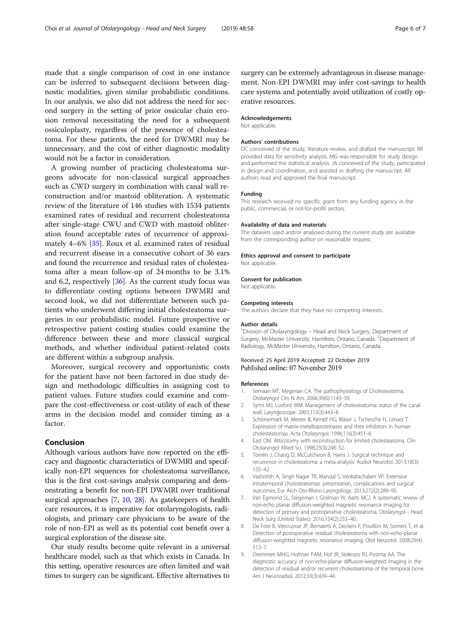<span id="page-5-0"></span>made that a single comparison of cost in one instance can be inferred to subsequent decisions between diagnostic modalities, given similar probabilistic conditions. In our analysis, we also did not address the need for second surgery in the setting of prior ossicular chain erosion removal necessitating the need for a subsequent ossiculoplasty, regardless of the presence of cholesteatoma. For these patients, the need for DWMRI may be unnecessary, and the cost of either diagnostic modality would not be a factor in consideration.

A growing number of practicing cholesteatoma surgeons advocate for non-classical surgical approaches such as CWD surgery in combination with canal wall reconstruction and/or mastoid obliteration. A systematic review of the literature of 146 studies with 1534 patients examined rates of residual and recurrent cholesteatoma after single-stage CWU and CWD with mastoid obliteration found acceptable rates of recurrence of approximately 4–6% [\[35\]](#page-6-0). Roux et al. examined rates of residual and recurrent disease in a consecutive cohort of 36 ears and found the recurrence and residual rates of cholesteatoma after a mean follow-up of 24 months to be 3.1% and 6.2, respectively [\[36](#page-6-0)]. As the current study focus was to differentiate costing options between DWMRI and second look, we did not differentiate between such patients who underwent differing initial cholesteatoma surgeries in our probabilistic model. Future prospective or retrospective patient costing studies could examine the difference between these and more classical surgical methods, and whether individual patient-related costs are different within a subgroup analysis.

Moreover, surgical recovery and opportunistic costs for the patient have not been factored in due study design and methodologic difficulties in assigning cost to patient values. Future studies could examine and compare the cost-effectiveness or cost-utility of each of these arms in the decision model and consider timing as a factor.

## Conclusion

Although various authors have now reported on the efficacy and diagnostic characteristics of DWMRI and specifically non-EPI sequences for cholesteatoma surveillance, this is the first cost-savings analysis comparing and demonstrating a benefit for non-EPI DWMRI over traditional surgical approaches [7, [10](#page-6-0), [28\]](#page-6-0). As gatekeepers of health care resources, it is imperative for otolaryngologists, radiologists, and primary care physicians to be aware of the role of non-EPI as well as its potential cost benefit over a surgical exploration of the disease site.

Our study results become quite relevant in a universal healthcare model, such as that which exists in Canada. In this setting, operative resources are often limited and wait times to surgery can be significant. Effective alternatives to surgery can be extremely advantageous in disease management. Non-EPI DWMRI may infer cost-savings to health care systems and potentially avoid utilization of costly operative resources.

#### Acknowledgements

Not applicable.

#### Authors' contributions

DC conceived of the study, literature review, and drafted the manuscript. RR provided data for sensitivity analysis. MG was responsible for study design and performed the statistical analysis. JA conceived of the study, participated in design and coordination, and assisted in drafting the manuscript. All authors read and approved the final manuscript.

#### Funding

This research received no specific grant from any funding agency in the public, commercial, or not-for-profit sectors.

#### Availability of data and materials

The datasets used and/or analysed during the current study are available from the corresponding author on reasonable request.

#### Ethics approval and consent to participate

Not applicable.

#### Consent for publication

Not applicable.

#### Competing interests

The authors declare that they have no competing interests.

#### Author details

<sup>1</sup> Division of Otolaryngology - Head and Neck Surgery, Department of Surgery, McMaster University, Hamilton, Ontario, Canada. <sup>2</sup>Department of Radiology, McMaster University, Hamilton, Ontario, Canada.

#### Received: 25 April 2019 Accepted: 22 October 2019 Published online: 07 November 2019

#### References

- 1. Semaan MT, Megerian CA. The pathophysiology of Cholesteatoma. Otolaryngol Clin N Am. 2006;39(6):1143–59.
- 2. Syms MJ, Luxford WM. Management of cholesteatoma: status of the canal wall. Laryngoscope. 2003;113(3):443–8.
- 3. Schönermark M, Mester B, Kempf HG, Bläser J, Tschesche H, Lenarz T. Expression of matrix-metalloproteinases and their inhibitors in human cholesteatomas. Acta Otolaryngol. 1996;116(3):451–6.
- 4. East DM. Atticotomy with reconstruction for limited cholesteatoma. Clin Otolaryngol Allied Sci. 1998;23(3):248–52.
- 5. Tomlin J, Chang D, McCutcheon B, Harris J. Surgical technique and recurrence in cholesteatoma: a meta-analysis. Audiol Neurotol. 2013;18(3): 135–42.
- 6. Vashishth A, Singh Nagar TR, Mandal S, Venkatachalam VP. Extensive intratemporal cholesteatomas: presentation, complications and surgical outcomes. Eur Arch Oto-Rhino-Laryngology. 2013;272(2):289–95.
- 7. Van Egmond SL, Stegeman I, Grolman W, Aarts MCJ. A systematic review of non-echo planar diffusion-weighted magnetic resonance imaging for detection of primary and postoperative cholesteatoma. Otolaryngol - Head Neck Surg (United States). 2016;154(2):233–40.
- 8. De Foer B, Vercruysse JP, Bernaerts A, Deckers F, Pouillon M, Somers T, et al. Detection of postoperative residual cholesteatoma with non-echo-planar diffusion-weighted magnetic resonance imaging. Otol Neurotol. 2008;29(4): 513–7.
- 9. Dremmen MHG, Hofman PAM, Hof JR, Stokroos RJ, Postma AA. The diagnostic accuracy of non-echo-planar diffusion-weighted imaging in the detection of residual and/or recurrent cholesteatoma of the temporal bone. Am J Neuroradiol. 2012;33(3):439–44.